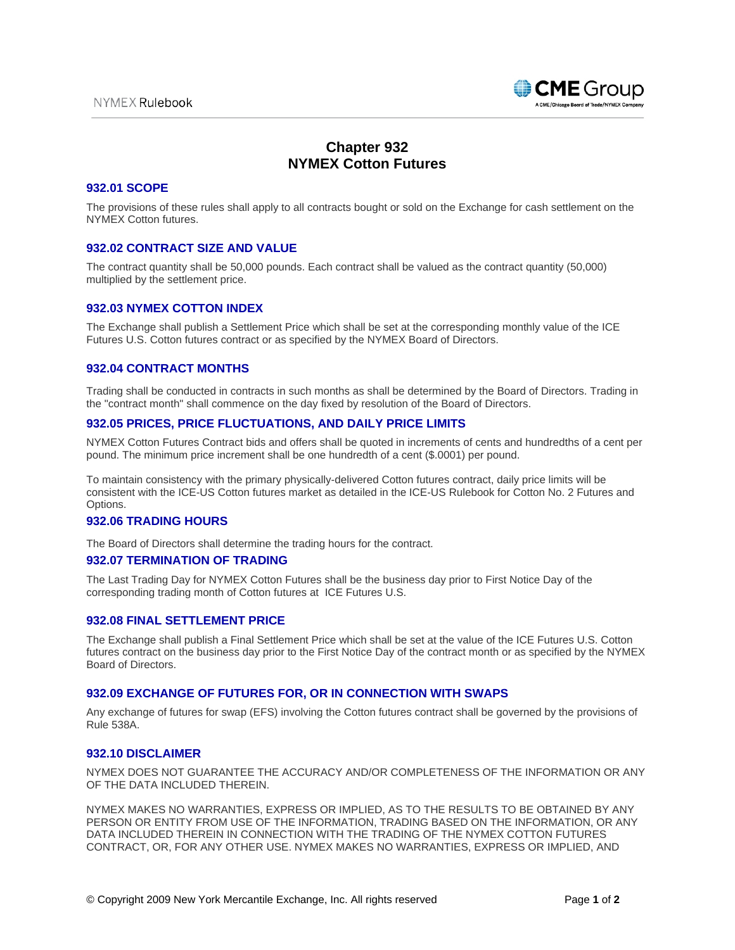

# **Chapter 932 NYMEX Cotton Futures**

### **932.01 SCOPE**

The provisions of these rules shall apply to all contracts bought or sold on the Exchange for cash settlement on the NYMEX Cotton futures.

# **932.02 CONTRACT SIZE AND VALUE**

The contract quantity shall be 50,000 pounds. Each contract shall be valued as the contract quantity (50,000) multiplied by the settlement price.

### **932.03 NYMEX COTTON INDEX**

The Exchange shall publish a Settlement Price which shall be set at the corresponding monthly value of the ICE Futures U.S. Cotton futures contract or as specified by the NYMEX Board of Directors.

### **932.04 CONTRACT MONTHS**

Trading shall be conducted in contracts in such months as shall be determined by the Board of Directors. Trading in the "contract month" shall commence on the day fixed by resolution of the Board of Directors.

# **932.05 PRICES, PRICE FLUCTUATIONS, AND DAILY PRICE LIMITS**

NYMEX Cotton Futures Contract bids and offers shall be quoted in increments of cents and hundredths of a cent per pound. The minimum price increment shall be one hundredth of a cent (\$.0001) per pound.

To maintain consistency with the primary physically-delivered Cotton futures contract, daily price limits will be consistent with the ICE-US Cotton futures market as detailed in the ICE-US Rulebook for Cotton No. 2 Futures and Options.

# **932.06 TRADING HOURS**

The Board of Directors shall determine the trading hours for the contract.

# **932.07 TERMINATION OF TRADING**

The Last Trading Day for NYMEX Cotton Futures shall be the business day prior to First Notice Day of the corresponding trading month of Cotton futures at ICE Futures U.S.

# **932.08 FINAL SETTLEMENT PRICE**

The Exchange shall publish a Final Settlement Price which shall be set at the value of the ICE Futures U.S. Cotton futures contract on the business day prior to the First Notice Day of the contract month or as specified by the NYMEX Board of Directors.

# **932.09 EXCHANGE OF FUTURES FOR, OR IN CONNECTION WITH SWAPS**

Any exchange of futures for swap (EFS) involving the Cotton futures contract shall be governed by the provisions of Rule 538A.

### **932.10 DISCLAIMER**

NYMEX DOES NOT GUARANTEE THE ACCURACY AND/OR COMPLETENESS OF THE INFORMATION OR ANY OF THE DATA INCLUDED THEREIN.

NYMEX MAKES NO WARRANTIES, EXPRESS OR IMPLIED, AS TO THE RESULTS TO BE OBTAINED BY ANY PERSON OR ENTITY FROM USE OF THE INFORMATION, TRADING BASED ON THE INFORMATION, OR ANY DATA INCLUDED THEREIN IN CONNECTION WITH THE TRADING OF THE NYMEX COTTON FUTURES CONTRACT, OR, FOR ANY OTHER USE. NYMEX MAKES NO WARRANTIES, EXPRESS OR IMPLIED, AND